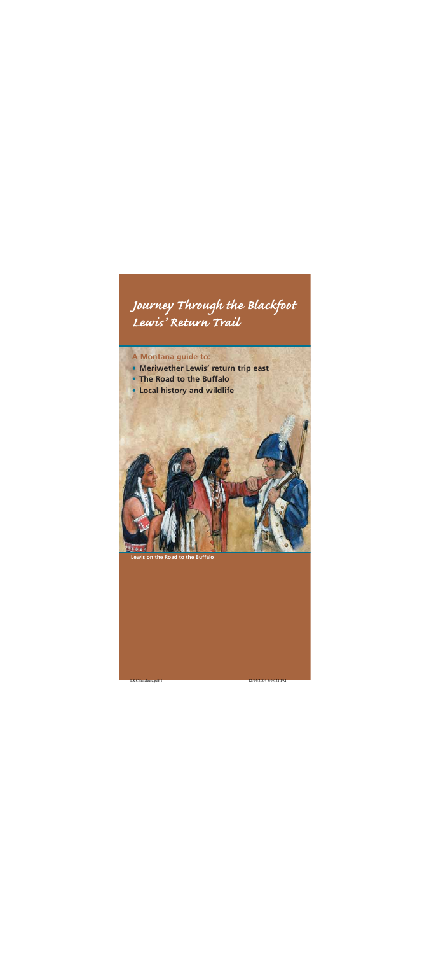# *Journey Through the Blackfoot Lewis' Return Trail*

## **A Montana guide to:**

- **• Meriwether Lewis' return trip east**
- **• The Road to the Buffalo**
- **• Local history and wildlife**

**Lewis on the Road to the Buffalo**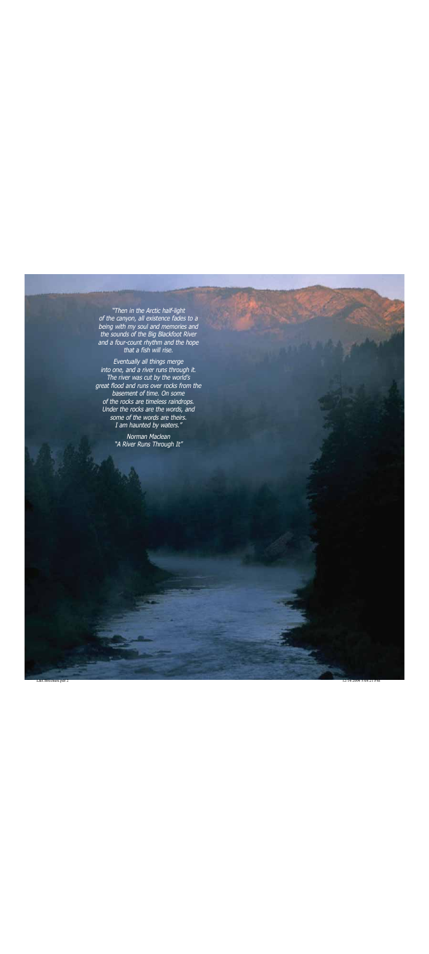"Then in the Arctic half-light of the canyon, all existence fades to a being with my soul and memories and the sounds of the Big Blackfoot River and a four-count rhythm and the hope that a fish will rise.

Eventually all things merge into one, and a river runs through it. The river was cut by the world's great flood and runs over rocks from the basement of time. On some of the rocks are timeless raindrops. Under the rocks are the words, and some of the words are theirs. I am haunted by waters."

> Norman Maclean "A River Runs Through It"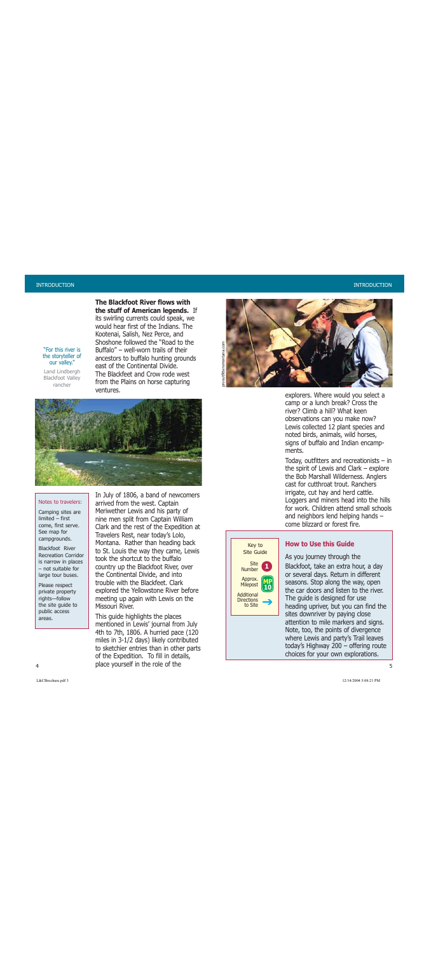"For this river is the storyteller of our valley." Land Lindbergh Blackfoot Valley rancher

**The Blackfoot River flows withthe stuff of American legends.** If its swirling currents could speak, we would hear first of the Indians. TheKootenai, Salish, Nez Perce, and Shoshone followed the "Road to theBuffalo" – well-worn trails of theirancestors to buffalo hunting grounds east of the Continental Divide. The Blackfeet and Crow rode westfrom the Plains on horse capturing ventures.



#### Notes to travelers:

Camping sites are limited – firstcome, first serve. See map for campgrounds.

Blackfoot RiverRecreation Corridoris narrow in places – not suitable forlarge tour buses.

Please respect private property rights-follow the site guide to public access areas.

In July of 1806, a band of newcomers arrived from the west. Captain Meriwether Lewis and his party of nine men split from Captain William Clark and the rest of the Expedition at Travelers Rest, near today's Lolo, Montana. Rather than heading back to St. Louis the way they came, Lewis took the shortcut to the buffalo country up the Blackfoot River, over the Continental Divide, and into trouble with the Blackfeet. Clarkexplored the Yellowstone River before meeting up again with Lewis on the Missouri River.

This guide highlights the places mentioned in Lewis' journal from July 4th to 7th, 1806. A hurried pace (120 miles in 3-1/2 days) likely contributed to sketchier entries than in other parts of the Expedition. To fill in details, a state of the role of the state of the state of the state of the state of the state of the state of the state of the state of the state of the state of the state of the state of the state of the state of the state of the



explorers. Where would you select a camp or a lunch break? Cross the river? Climb a hill? What keen observations can you make now? Lewis collected 12 plant species and noted birds, animals, wild horses, signs of buffalo and Indian encampments.

Today, outfitters and recreationists – in the spirit of Lewis and Clark – explore the Bob Marshall Wilderness. Anglers cast for cutthroat trout. Ranchers irrigate, cut hay and herd cattle. Loggers and miners head into the hills for work. Children attend small schoolsand neighbors lend helping hands – come blizzard or forest fire.



#### **How to Use this Guide**

As you journey through the

Blackfoot, take an extra hour, a day or several days. Return in different seasons. Stop along the way, open the car doors and listen to the river.The guide is designed for use heading upriver, but you can find the sites downriver by paying close attention to mile markers and signs. Note, too, the points of divergence where Lewis and party's Trail leaves today's Highway 200 – offering route choices for your own explorations.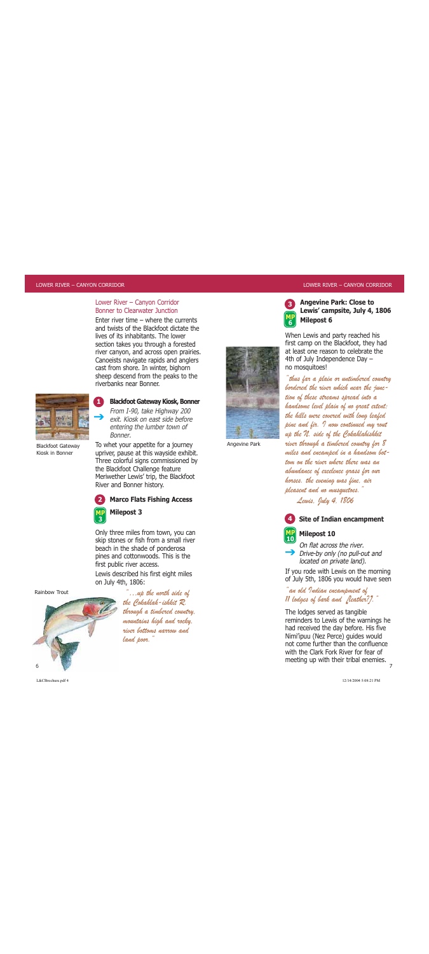#### Lower River – Canyon Corridor Bonner to Clearwater Junction

Enter river time – where the currentsand twists of the Blackfoot dictate thelives of its inhabitants. The lower section takes you through a forested river canyon, and across open prairies. Canoeists navigate rapids and anglers cast from shore. In winter, bighorn sheep descend from the peaks to the riverbanks near Bonner.



**1**

From I-90, take Highway 200  $\rightarrow$ 

exit. Kiosk on east side beforeentering the lumber town of Bonner.

**Blackfoot Gateway Kiosk, Bonner** 

Blackfoot Gateway Kiosk in Bonner

To whet your appetite for a journey upriver, pause at this wayside exhibit. Three colorful signs commissioned by the Blackfoot Challenge feature Meriwether Lewis' trip, the Blackfoot River and Bonner history.



Only three miles from town, you can skip stones or fish from a small river beach in the shade of ponderosa pines and cottonwoods. This is the first public river access.

Lewis described his first eight miles on July 4th, 1806:



...up the north side of the Cokahlah-ishkit R. through a timbered country, mountains high and rocky, river bottoms narrow andland poor.

 $\mathcal{L}(\mathbf{A}) = \mathcal{L}(\mathbf{A}) \mathcal{L}(\mathbf{A}) = \mathcal{L}(\mathbf{A}) \mathcal{L}(\mathbf{A})$ 



**3**

**6**

Angevine Park

#### **Angevine Park: Close to Lewis' campsite, July 4, 1806 Milepost 6 MP**

When Lewis and party reached his first camp on the Blackfoot, they had at least one reason to celebrate the4th of July Independence Day – no mosquitoes!

"thus far a plain or untimbered country bordered the river which near the junction of these streams spread into a handsome level plain of no great extent; the hills were covered with long leafed pine and fir. I now continued my rout up the N. side of the Cokahlahishkit river through a timbered country for 8 miles and encamped in a handsom bottom on the river where there was anabundance of excelence grass for our horses. the evening was fine, air pleasent and no musquetoes."

Lewis, July 4, 1806

#### **Site of Indian encampment 4**



On flat across the river.

**Drive-by only (no pull-out and** located on private land).

If you rode with Lewis on the morning of July 5th, 1806 you would have seen

"an old Indian encampment of 11 lodges of bark and [leather?]."

The lodges served as tangible reminders to Lewis of the warnings he had received the day before. His five Nimi'ipuu (Nez Perce) guides would not come further than the confluencewith the Clark Fork River for fear ofmeeting up with their tribal enemies.

7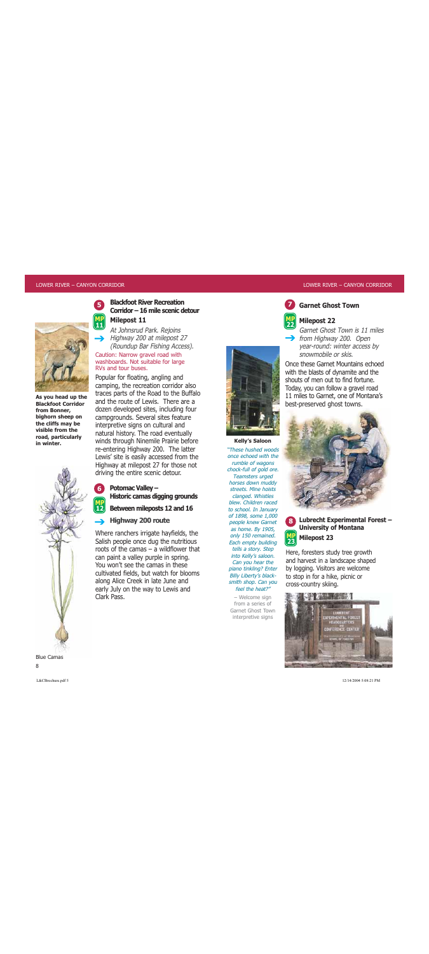**5**

**MP11**

**6**

**12**



**As you head up the Blackfoot Corridorfrom Bonner, bighorn sheep on the cliffs may be visible from theroad, particularly in winter.**



**Blackfoot River RecreationCorridor – 16 mile scenic detourMilepost 11** 

At Johnsrud Park. Rejoins  $\rightarrow$  Highway 200 at milepost 27 (Roundup Bar Fishing Access).

Caution: Narrow gravel road with washboards. Not suitable for large RVs and tour buses.

Popular for floating, angling and camping, the recreation corridor also traces parts of the Road to the Buffalo and the route of Lewis. There are adozen developed sites, including four campgrounds. Several sites feature interpretive signs on cultural and natural history. The road eventually winds through Ninemile Prairie before re-entering Highway 200. The latter Lewis' site is easily accessed from the Highway at milepost 27 for those not driving the entire scenic detour.

#### **Potomac Valley – Historic camas digging grounds**

**Between mileposts 12 and 16 MP**

#### **Highway 200 route**  $\rightarrow$

Where ranchers irrigate hayfields, the Salish people once dug the nutritious roots of the camas – a wildflower that can paint a valley purple in spring. You won't see the camas in these cultivated fields, but watch for blooms along Alice Creek in late June and early July on the way to Lewis and Clark Pass.



**Kelly's Saloon**  "These hushed woodsonce echoed with therumble of wagons chock-full of gold ore. Teamsters urged horses down muddy streets. Mine hoistsclanged. Whistles blew. Children racedto school. In January of 1898, some 1,000 people knew Garnet as home. By 1905, only 150 remained. Each empty building tells a story. Step into Kelly's saloon. Can you hear the piano tinkling? Enter Billy Liberty's blacksmith shop. Can you feel the heat?"

– Welcome sign from a series ofGarnet Ghost Town interpretive signs

## **Garnet Ghost Town**



**7**

#### **Milepost 22**

Garnet Ghost Town is 11 miles $\rightarrow$  from Highway 200. Open year-round: winter access by snowmobile or skis.**22**

Once these Garnet Mountains echoedwith the blasts of dynamite and the shouts of men out to find fortune.Today, you can follow a gravel road 11 miles to Garnet, one of Montana's best-preserved ghost towns.





## **Lubrecht Experimental Forest – University of Montana Milepost 23**

Here, foresters study tree growth and harvest in a landscape shaped by logging. Visitors are welcome to stop in for a hike, picnic or cross-country skiing.



Blue Camas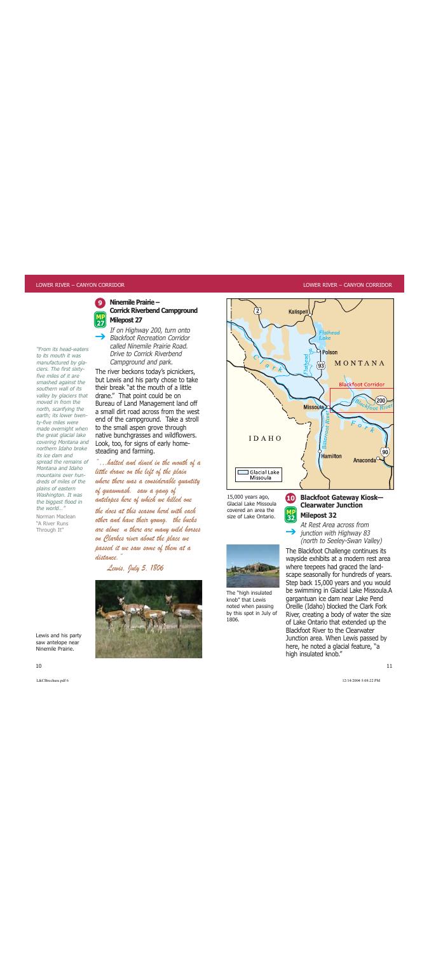

"From its head-watersto its mouth it wasmanufactured by glaciers. The first sixtyfive miles of it aresmashed against the southern wall of itsvalley by glaciers that moved in from thenorth, scarifying the earth; its lower twenty-five miles were made overnight when the great glacial lake covering Montana and northern Idaho brokeits ice dam andspread the remains of Montana and Idahomountains over hundreds of miles of theplains of eastern Washington. It was the biggest flood in the world…

Norman Maclean"A River RunsThrough It"

**Ninemile Prairie – Corrick Riverbend Campground Milepost 27** 

If on Highway 200, turn onto Blackfoot Recreation Corridorcalled Ninemile Prairie Road.Drive to Corrick RiverbendCampground and park.  $\rightarrow$ 

The river beckons today's picnickers, but Lewis and his party chose to take their break "at the mouth of a littledrane." That point could be on Bureau of Land Management land off a small dirt road across from the westend of the campground. Take a stroll to the small aspen grove through native bunchgrasses and wildflowers. Look, too, for signs of early homesteading and farming.

"…halted and dined in the mouth of a little drane on the left of the plain where there was a considerable quantity of quawmash. saw a gang of antelopes here of which we killed one the does at this season herd with each other and have their young. the bucks are alone n there are many wild horses on Clarkes river about the place we passed it we saw some of them at a distance."

Lewis, July 5, 1806



Lewis and his party saw antelope near Ninemile Prairie.



**10**

15,000 years ago, Glacial Lake Missoulacovered an area thesize of Lake Ontario.

The "high insulated knob" that Lewisnoted when passing by this spot in July of

1806.



At Rest Area across from  $\rightarrow$  junction with Highway 83 (north to Seeley-Swan Valley) **MP 32**

The Blackfoot Challenge continues its wayside exhibits at a modern rest area where teepees had graced the landscape seasonally for hundreds of years. Step back 15,000 years and you would be swimming in Glacial Lake Missoula.A gargantuan ice dam near Lake Pend Oreille (Idaho) blocked the Clark Fork River, creating a body of water the size of Lake Ontario that extended up the Blackfoot River to the ClearwaterJunction area. When Lewis passed by here, he noted a glacial feature, "a high insulated knob."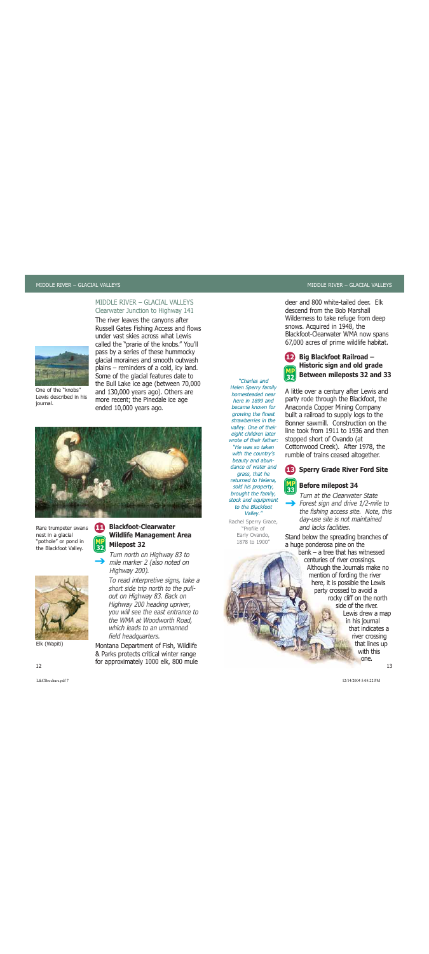#### MIDDLE RIVER – GLACIAL VALLEYSClearwater Junction to Highway 141

The river leaves the canyons after



One of the "knobs"Lewis described in hisjournal.

Russell Gates Fishing Access and flows under vast skies across what Lewiscalled the "prarie of the knobs." You'll pass by a series of these hummocky glacial moraines and smooth outwash plains – reminders of a cold, icy land. Some of the glacial features date to the Bull Lake ice age (between 70,000 and 130,000 years ago). Others are more recent; the Pinedale ice age ended 10,000 years ago.



 $\rightarrow$ 

Rare trumpeter swans nest in a glacial "pothole" or pond in the Blackfoot Valley.





Elk (Wapiti)

Turn north on Highway 83 to mile marker 2 (also noted on Highway 200).

To read interpretive signs, take a short side trip north to the pullout on Highway 83. Back on Highway 200 heading upriver, you will see the east entrance to the WMA at Woodworth Road, which leads to an unmanned field headquarters.

Montana Department of Fish, Wildlife & Parks protects critical winter range for approximately 1000 elk, 800 mule 2 and  $\mathbb{I}$  13

"Charles and Helen Sperry family homesteaded nearhere in 1899 andbecame known forgrowing the finest strawberries in thevalley. One of their eight children later wrote of their father:"He was so takenwith the country's beauty and abundance of water andgrass, that he returned to Helena, sold his property, brought the family, stock and equipment to the BlackfootValley."

Rachel Sperry Grace, "Profile of Early Ovando, 1878 to 1900"

deer and 800 white-tailed deer. Elkdescend from the Bob MarshallWilderness to take refuge from deep snows. Acquired in 1948, the Blackfoot-Clearwater WMA now spans 67,000 acres of prime wildlife habitat.



## **Big Blackfoot Railroad – Historic sign and old grade Between mileposts 32 and 33**

A little over a century after Lewis and party rode through the Blackfoot, the Anaconda Copper Mining Company built a railroad to supply logs to the Bonner sawmill. Construction on theline took from 1911 to 1936 and thenstopped short of Ovando (at Cottonwood Creek). After 1978, the rumble of trains ceased altogether.

#### **Sperry Grade River Ford Site 13**



Turn at the Clearwater State $\rightarrow$  Forest sign and drive 1/2-mile to the fishing access site. Note, this day-use site is not maintained and lacks facilities.

Stand below the spreading branches of a huge ponderosa pine on the

bank – a tree that has witnessedcenturies of river crossings. Although the Journals make no mention of fording the river here, it is possible the Lewis party crossed to avoid a rocky cliff on the north side of the river.Lewis drew a map in his journal that indicates ariver crossing that lines up with thisone.

12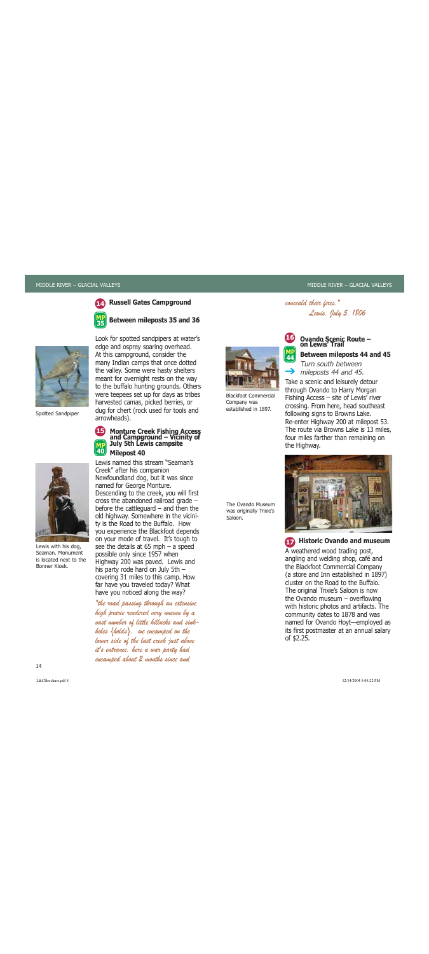

**15**

**40**

### **Russell Gates Campground**

**Between mileposts 35 and 36**



Spotted Sandpiper



Lewis with his dog, Seaman. Monumentis located next to theBonner Kiosk.

Look for spotted sandpipers at water's edge and osprey soaring overhead. At this campground, consider the many Indian camps that once dotted the valley. Some were hasty shelters meant for overnight rests on the way to the buffalo hunting grounds. Others were teepees set up for days as tribes harvested camas, picked berries, or dug for chert (rock used for tools and arrowheads).

## **Monture Creek Fishing Access and Campground – Vicinity of July 5th Lewis campsite Milepost 40 MP**

Lewis named this stream "Seaman'sCreek" after his companion Newfoundland dog, but it was since named for George Monture. Descending to the creek, you will first cross the abandoned railroad grade – before the cattleguard – and then the old highway. Somewhere in the vicinity is the Road to the Buffalo. How you experience the Blackfoot depends on your mode of travel. It's tough to see the details at 65 mph – a speed possible only since 1957 when Highway 200 was paved. Lewis and his party rode hard on July 5th – covering 31 miles to this camp. How far have you traveled today? What have you noticed along the way?

"the road passing through an extensive high prarie rendered very uneven by a vast number of little hillucks and sinkholes {holds}. we encamped on the lower side of the last creek just above it's entrance. here a war party had encamped about 2 months since and



Blackfoot CommercialCompany was established in 1897.

The Ovando Museumwas originally Trixie's

Saloon.

# Ovando Scenic Route –<br>on Lewis' Trail

Lewis, July 5, 1806

#### **Between mileposts 44 and 45**

Turn south between mileposts 44 and 45. **MP 44** $\rightarrow$ 

conceald their fires."

**16**

Take a scenic and leisurely detour through Ovando to Harry Morgan Fishing Access – site of Lewis' river crossing. From here, head southeast following signs to Browns Lake. Re-enter Highway 200 at milepost 53. The route via Browns Lake is 13 miles, four miles farther than remaining on the Highway.



**Historic Ovando and museum 17**A weathered wood trading post, angling and welding shop, café and the Blackfoot Commercial Company (a store and Inn established in 1897) cluster on the Road to the Buffalo.The original Trixie's Saloon is now the Ovando museum – overflowing with historic photos and artifacts. The community dates to 1878 and was named for Ovando Hoyt—employed as its first postmaster at an annual salary of \$2.25.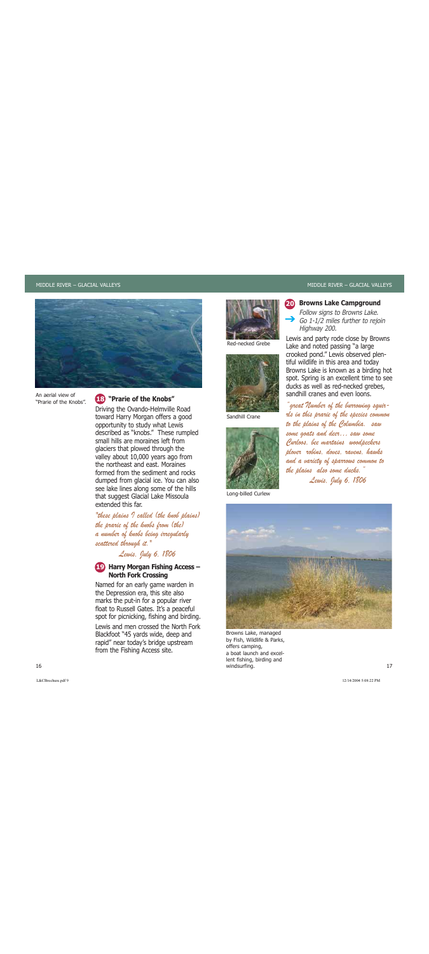

An aerial view of"Prarie of the Knobs".

#### **"Prarie of the Knobs"18**

Driving the Ovando-Helmville Road toward Harry Morgan offers a good opportunity to study what Lewis described as "knobs." These rumpled small hills are moraines left from glaciers that plowed through the valley about 10,000 years ago from the northeast and east. Morainesformed from the sediment and rocksdumped from glacial ice. You can also see lake lines along some of the hills that suggest Glacial Lake Missoula extended this far.

"these plains I called (the knob plains) the prarie of the knobs from (the) a number of knobs being irregularly scattered through it."

Lewis, July 6, 1806

## **Harry Morgan Fishing Access – 19 North Fork Crossing**

Named for an early game warden in the Depression era, this site also marks the put-in for a popular river float to Russell Gates. It's a peaceful spot for picnicking, fishing and birding. Lewis and men crossed the North ForkBlackfoot "45 yards wide, deep and rapid" near today's bridge upstream from the Fishing Access site.



Red-necked Grebe



Sandhill Crane



Long-billed Curlew

#### **Browns Lake Campground 20**

Follow signs to Browns Lake.  $\rightarrow$  Go 1-1/2 miles further to rejoin Highway 200.

Lewis and party rode close by Browns Lake and noted passing "a large crooked pond." Lewis observed plentiful wildlife in this area and today Browns Lake is known as a birding hot spot. Spring is an excellent time to see ducks as well as red-necked grebes, sandhill cranes and even loons.

"great Number of the burrowing squirrls in this prarie of the species common to the plains of the Columbia. saw some goats and deer… saw some Curloos, bee martains woodpeckers plover robins, doves, ravens, hawks and a variety of sparrows common to the plains also some ducks." Lewis, July 6, 1806



 $\blacksquare$  17 and 20 and 20 and 20 and 20 and 20 and 20 and 20 and 20 and 20 and 20 and 20 and 20 and 20 and 20 and 20 and 20 and 20 and 20 and 20 and 20 and 20 and 20 and 20 and 20 and 20 and 20 and 20 and 20 and 20 and 20 a Browns Lake, managed by Fish, Wildlife & Parks, offers camping, a boat launch and excellent fishing, birding and windsurfing.

 $\mathcal{L}(\mathbf{A}) = \mathcal{L}(\mathbf{A}) = \mathcal{L}(\mathbf{A})$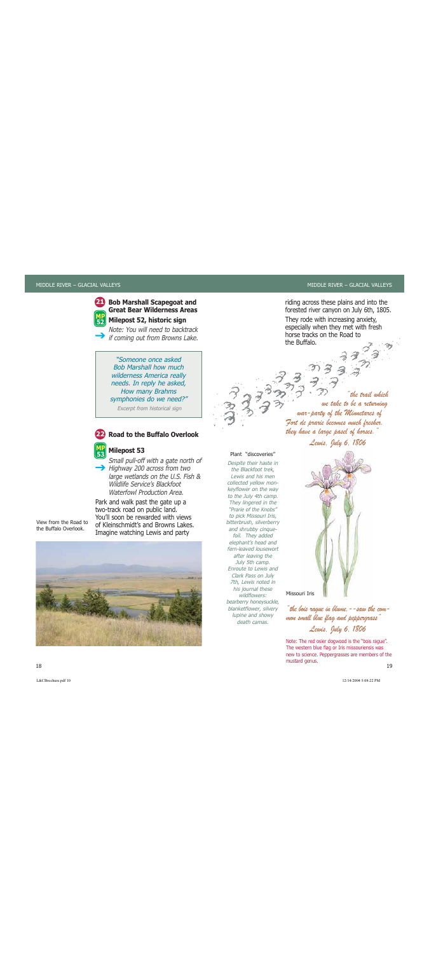

#### **Bob Marshall Scapegoat and Great Bear Wilderness AreasMilepost 52, historic sign**

Note: You will need to backtrackif coming out from Browns Lake.  $\rightarrow$ 

> "Someone once asked Bob Marshall how much wilderness America really needs. In reply he asked, How many Brahms symphonies do we need?"

Excerpt from historical sign



## **Road to the Buffalo Overlook**

#### **Milepost 53 MP**

Small pull-off with a gate north of Highway 200 across from two large wetlands on the U.S. Fish & Wildlife Service's BlackfootWaterfowl Production Area.**53**

Park and walk past the gate up a two-track road on public land. You'll soon be rewarded with views of Kleinschmidt's and Browns Lakes.

View from the Road tothe Buffalo Overlook.



#### Plant "discoveries"

Despite their haste in the Blackfoot trek, Lewis and his mencollected yellow monkeyflower on the way to the July 4th camp. They lingered in the "Prarie of the Knobs"to pick Missouri Iris, bitterbrush, silverberry and shrubby cinquefoil. They added elephant's head and fern-leaved lousewortafter leaving the July 5th camp. Enroute to Lewis andClark Pass on July 7th, Lewis noted in his journal these wildflowers:bearberry honeysuckle, blanketflower, silvery lupine and showy

death camas.

"the bois rague in blume.--saw the common small blue flag and peppergrass" Lewis, July 6, 1806

 $8$  and the contract of the contract of the contract of the contract of the contract of the contract of the contract of the contract of the contract of the contract of the contract of the contract of the contract of the c Note: The red osier dogwood is the "bois rague". The western blue flag or Iris missouriensis was new to science. Peppergrasses are members of the mustard genus.

riding across these plains and into the forested river canyon on July 6th, 1805.

They rode with increasing anxiety, especially when they met with fresh horse tracks on the Road tothe Buffalo.

"the trail whichwe take to be a returning war-party of the Minnetares of Fort de prarie becomes much fresher. they have a large pasel of horses."

Lewis, July 6, 1806

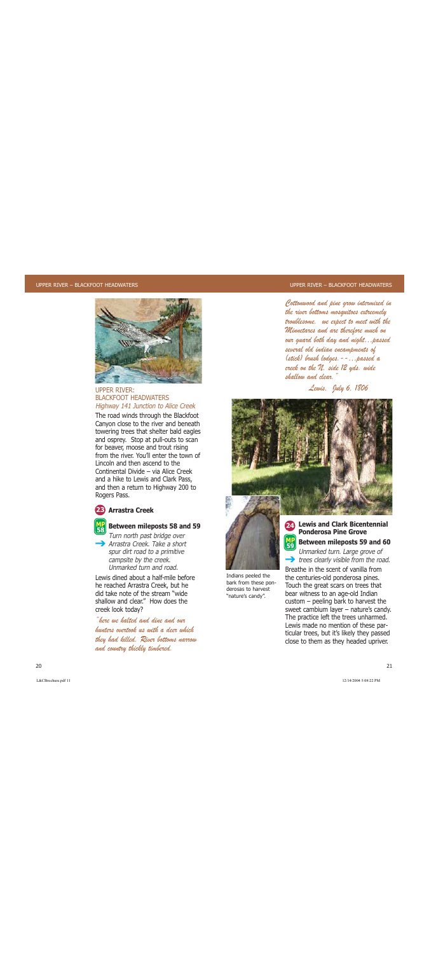

#### UPPER RIVER:BLACKFOOT HEADWATERSHighway 141 Junction to Alice Creek

The road winds through the Blackfoot Canyon close to the river and beneath towering trees that shelter bald eagles and osprey. Stop at pull-outs to scan for beaver, moose and trout rising from the river. You'll enter the town ofLincoln and then ascend to theContinental Divide – via Alice Creekand a hike to Lewis and Clark Pass, and then a return to Highway 200 to Rogers Pass.

## **Arrastra Creek 23**



## **Between mileposts 58 and 59 MP 58**

Turn north past bridge over  $\rightarrow$  Arrastra Creek. Take a short spur dirt road to a primitive campsite by the creek. Unmarked turn and road.

Lewis dined about a half-mile beforehe reached Arrastra Creek, but he did take note of the stream "wideshallow and clear." How does thecreek look today?

"here we halted and dine and ourhunters overtook us with a deer whichthey had killed. River bottoms narrow and country thickly timbered.

Cottonwood and pine grow intermixed in the river bottoms mosquitoes extreemely troublesome. we expect to meet with the Minnetares and are therefore much on our guard both day and night…passed several old indian encampments of (stick) brush lodges.--…passed a creek on the N. side 12 yds. wide shallow and clear."

Lewis, July 6, 1806





Indians peeled the bark from these ponderosas to harvest"nature's candy".

 $\mathcal{L}(\mathcal{A}) = \mathcal{L}(\mathcal{A})$ 

#### **Lewis and Clark Bicentennial 24Ponderosa Pine GroveBetween mileposts 59 and 60 MP59**

Unmarked turn. Large grove of  $\rightarrow$  trees clearly visible from the road.

Breathe in the scent of vanilla fromthe centuries-old ponderosa pines. Touch the great scars on trees that bear witness to an age-old Indian custom – peeling bark to harvest the sweet cambium layer – nature's candy. The practice left the trees unharmed. Lewis made no mention of these particular trees, but it's likely they passed close to them as they headed upriver.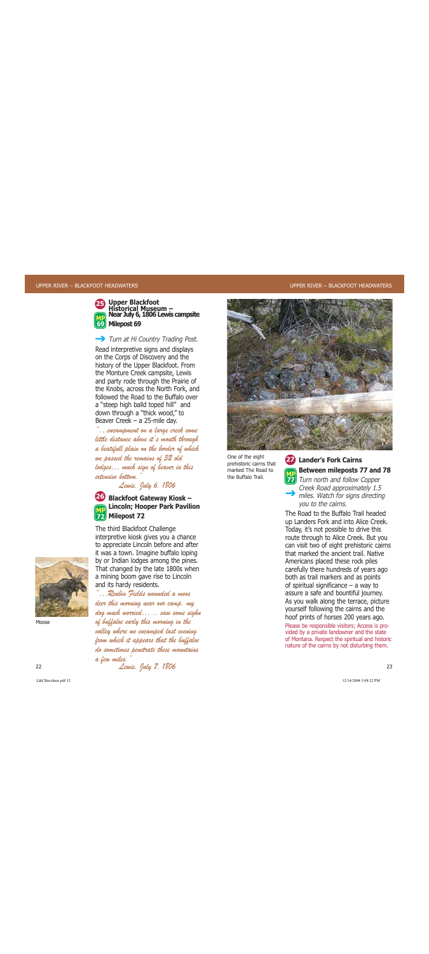

## **Upper Blackfoot Historical Museum – Near July 6, 1806 Lewis campsite Milepost 69 69**

## Turn at Hi Country Trading Post.

Read interpretive signs and displays on the Corps of Discovery and the history of the Upper Blackfoot. From the Monture Creek campsite, Lewis and party rode through the Prairie of the Knobs, across the North Fork, and followed the Road to the Buffalo overa "steep high balld toped hill" and down through a "thick wood," to Beaver Creek – a 25-mile day.

"…encampment on a large creek some little distance above it's mouth through a beatifull plain on the border of which we passed the remains of 32 old lodges… much sign of beaver in this extensive bottom.

Lewis, July 6, 1806



The third Blackfoot Challenge interpretive kiosk gives you a chance to appreciate Lincoln before and after it was a town. Imagine buffalo loping by or Indian lodges among the pines. That changed by the late 1800s when a mining boom gave rise to Lincoln and its hardy residents.

"…Reubin Fields wounded a moos deer this morning near our camp. my dog much worried… .. saw some sighn of buffaloe early this morning in the valley where we encamped last evening from which it appears that the buffaloe do sometimes penetrate these mountains



Moose

One of the eight prehistoric cairns that marked The Road tothe Buffalo Trail.

## **Lander's Fork Cairns27 Between mileposts 77 and 78**

**TD** Turn north and follow Copper Creek Road approximately 1.5 miles. Watch for signs directing you to the cairns. **MP**

The Road to the Buffalo Trail headedup Landers Fork and into Alice Creek. Today, it's not possible to drive this route through to Alice Creek. But you can visit two of eight prehistoric cairns that marked the ancient trail. NativeAmericans placed these rock piles carefully there hundreds of years ago both as trail markers and as points of spiritual significance – a way to assure a safe and bountiful journey. As you walk along the terrace, picture yourself following the cairns and the hoof prints of horses 200 years ago.

Please be responsible visitors; Access is provided by a private landowner and the state of Montana. Respect the spiritual and historic nature of the cairns by not disturbing them.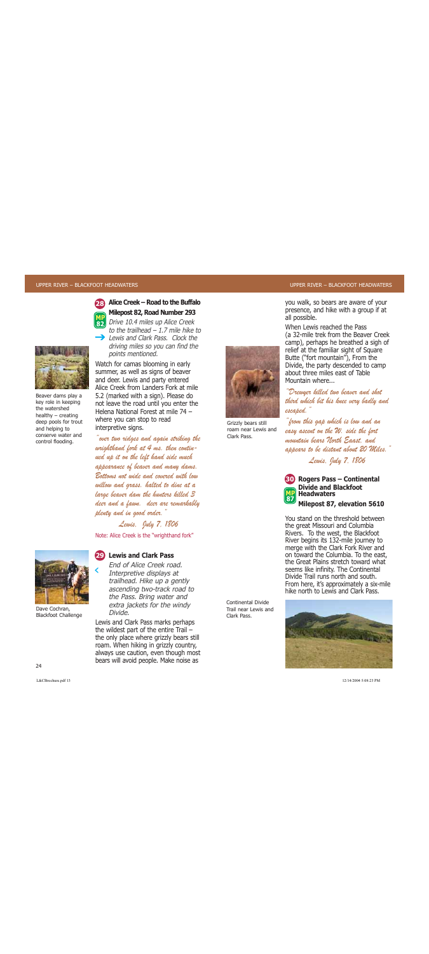

## **Alice Creek – Road to the BuffaloMilepost 82, Road Number 293**

Drive 10.4 miles up Alice Creek to the trailhead – 1.7 mile hike to $\rightarrow$  Lewis and Clark Pass. Clock the driving miles so you can find the points mentioned.



key role in keeping the watershedhealthy – creating deep pools for trout and helping to conserve water andcontrol flooding.

Watch for camas blooming in early summer, as well as signs of beaver and deer. Lewis and party entered Alice Creek from Landers Fork at mile5.2 (marked with a sign). Please do not leave the road until you enter the Helena National Forest at mile 74 –where you can stop to read interpretive signs.

"over two ridges and again striking the wrighthand fork at 4 ms. then continued up it on the left hand side much appearance of beaver and many dams. Bottoms not wide and covered with lowwillow and grass. halted to dine at a large beaver dam the hunters killed 3 deer and a fawn. deer are remarkably plenty and in good order."

Lewis, July 7, 1806

Note: Alice Creek is the "wrighthand fork"



‹

Dave Cochran, Blackfoot Challenge

#### **Lewis and Clark Pass 29**

End of Alice Creek road.Interpretive displays at trailhead. Hike up a gently ascending two-track road to the Pass. Bring water and extra jackets for the windy Divide.

Lewis and Clark Pass marks perhaps the wildest part of the entire Trail – the only place where grizzly bears still roam. When hiking in grizzly country, always use caution, even though most bears will avoid people. Make noise as



Grizzly bears still roam near Lewis andClark Pass.

you walk, so bears are aware of your presence, and hike with a group if at all possible.

When Lewis reached the Pass (a 32-mile trek from the Beaver Creek camp), perhaps he breathed a sigh of relief at the familiar sight of Square Butte ("fort mountain"), From the Divide, the party descended to camp about three miles east of TableMountain where...

"Drewyer killed two beaver and shot third which bit his knee very badly and escaped."

"from this gap which is low and an easy ascent on the W. side the fort mountain bears North Eaast, and appears to be distant about 20 Miles."

Lewis, July 7, 1806



**Rogers Pass – Continental 30 Divide and BlackfootHeadwatersMilepost 87, elevation 5610**

You stand on the threshold betweenthe great Missouri and Columbia Rivers. To the west, the Blackfoot River begins its 132-mile journey to merge with the Clark Fork River and on toward the Columbia. To the east, the Great Plains stretch toward whatseems like infinity. The Continental Divide Trail runs north and south.From here, it's approximately a six-mile hike north to Lewis and Clark Pass.

Continental DivideTrail near Lewis andClark Pass.

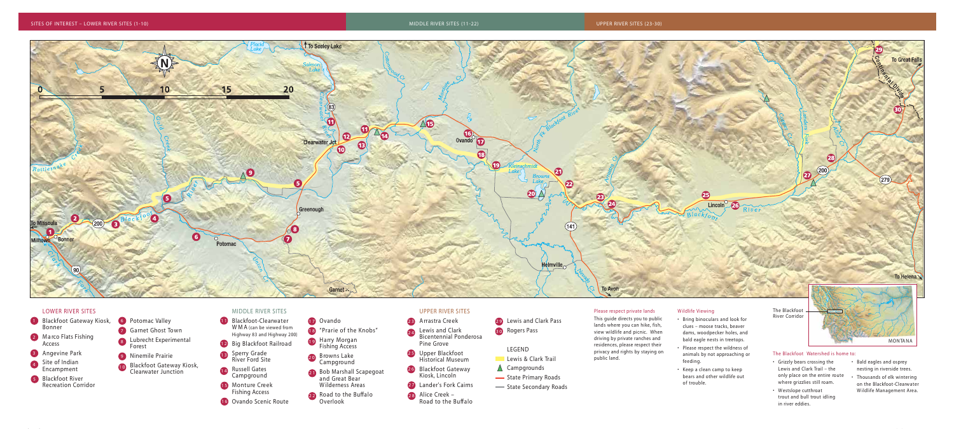#### **Please respect private lands**

This guide directs you to public lands where you can hike, fish, view wildlife and picnic. When driving by private ranches and residences, please respect their privacy and rights by staying on

- public land.
- 
- 

#### **W ildlife Viewing**

- Bring binoculars and look for clues – moose tracks, beaver dams, woodpecker holes, and bald eagle nests in treetops.
- Please respect the wildness of animals by not approaching or feeding.
- Keep a clean camp to keep bears and other wildlife out of trouble.
- 1 **Blackfoot Gateway Kiosk**, Bonner 2 Marco Flats Fishing Access Angevine Park **3** Site of Indian **4** Encampment
- Blackfoot River **5** Recreation Corridor
- Potomac Valley **6** Garnet Ghost Town **7** Lubrecht Experimental **8** Forest Ninemile Prairie **9** Blackfoot Gateway Kiosk, **1 0** Clearwater Junction
- Grizzly bears crossing the Lewis and Clark Trail – the only place on the entire route where grizzlies still roam.
- Westslope cutthroat trout and bull trout idling in river eddies.
- Bald eagles and osprey nesting in riverside trees.
- Thousands of elk wintering on the Blackfoot-Clearwater W ildlife Management Area.



#### **LOWER RIVER SITES**

#### **MIDDLE RIVER SITES**

- Blackfoot-Clearwater **1 1** WMA (can be viewed from Highway 83 and Highway 200) Big Blackfoot Railroad **1 2** Sperry Grade River Ford Site **1 3** Russell Gates **1 4** Campground Monture Creek **1 5** Fishing Access Ovando Scenic Route **1 6**
- Ovando **1 7**
- "Prarie of the Knobs" **1 8**
- Harry Morgan **1 9** Fishing Access
- B rowns Lake **2 0** Campground
- Bob Marshall Scapegoat **2 1** and Great Bear W ilderness Areas
- Road to the Buffalo **2 2** Overlook

#### **UPPER RIVER SITES**

- A rrastra Creek **2 3**
- Lewis and Clark Bicentennial Ponderosa Pine Grove **2 4**
- Upper Blackfoot **2 5** Historical Museum
- Blackfoot Gateway **2 6** Kiosk, Lincoln
- Lander's Fork Cairns **2 7**
- Alice Creek **2 8** Road to the Buffalo

- 
- 
- $\triangle$  Campgrounds State Primary Roads
- State Secondary Roads

**LEGEND**

Lewis & Clark Trail

Lewis and Clark Pass **2 9**

Rogers Pass **3 0**

#### **The Blackfoot Watershed is home to:**

**The Blackfoot River Corridor**

# **M O N TA N A**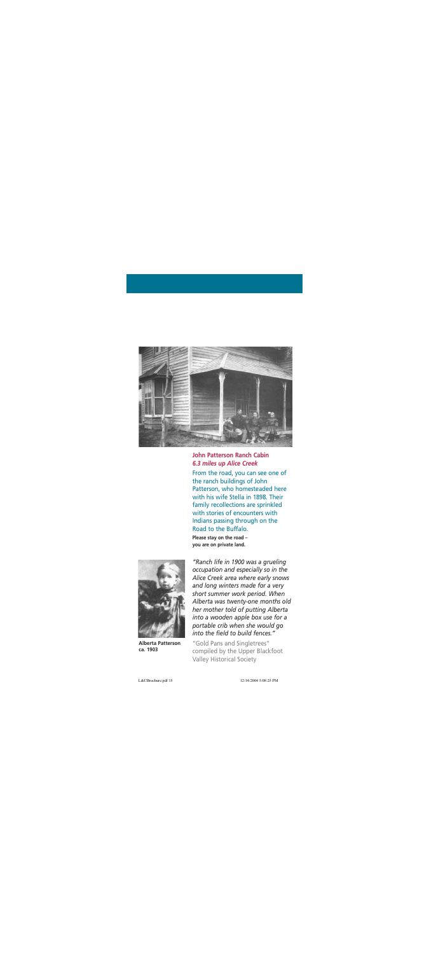

#### **John Patterson Ranch Cabin***6.3 miles up Alice Creek*

From the road, you can see one of the ranch buildings of John Patterson, who homesteaded here with his wife Stella in 1898. Their family recollections are sprinkled with stories of encounters withIndians passing through on the Road to the Buffalo.

**Please stay on the road – you are on private land.** 



**Alberta Pattersonca. 1903** 

*"Ranch life in 1900 was a grueling occupation and especially so in the Alice Creek area where early snows and long winters made for a very short summer work period. When Alberta was twenty-one months old her mother told of putting Alberta into a wooden apple box use for a portable crib when she would go into the field to build fences."* 

"Gold Pans and Singletrees" compiled by the Upper Blackfoot Valley Historical Society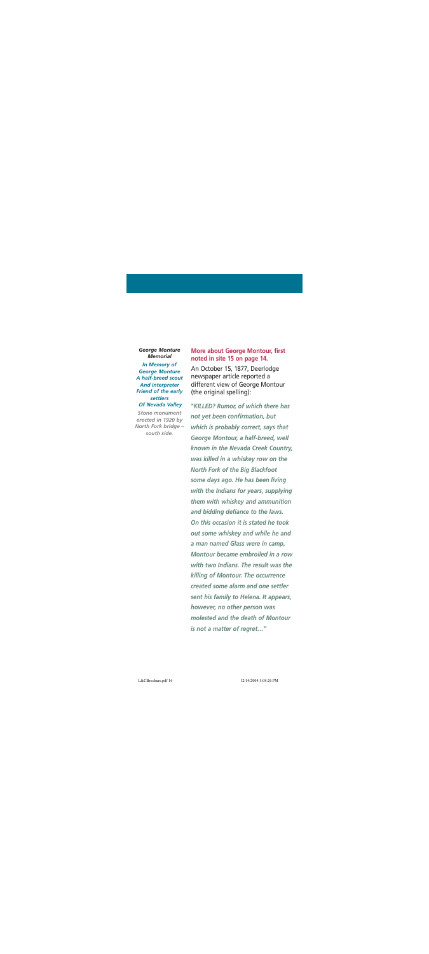#### *George Monture Memorial*

*In Memory of George Monture A half-breed scout And interpreter Friend of the early settlers Of Nevada Valley*

*Stone monumenterected in 1920 by North Fork bridge – south side.*

#### **More about George Montour, first noted in site 15 on page 14.**

An October 15, 1877, Deerlodge newspaper article reported a different view of George Montour (the original spelling):

*"KILLED? Rumor, of which there has not yet been confirmation, but which is probably correct, says that George Montour, a half-breed, well known in the Nevada Creek Country, was killed in a whiskey row on the North Fork of the Big Blackfoot some days ago. He has been living with the Indians for years, supplying them with whiskey and ammunition and bidding defiance to the laws. On this occasion it is stated he tookout some whiskey and while he and a man named Glass were in camp, Montour became embroiled in a rowwith two Indians. The result was thekilling of Montour. The occurrence created some alarm and one settlersent his family to Helena. It appears, however, no other person was molested and the death of Montouris not a matter of regret…"*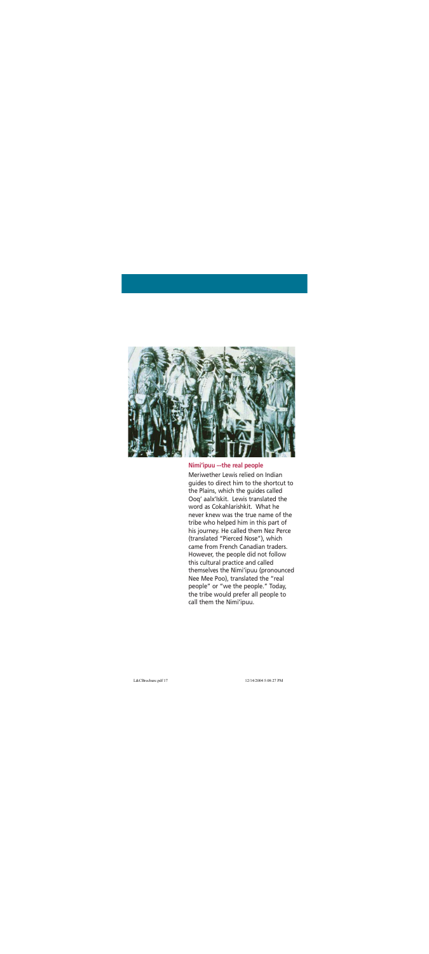

#### **Nimi'ipuu –-the real people**

Meriwether Lewis relied on Indianguides to direct him to the shortcut to the Plains, which the guides called Ooq' aalx'Iskit. Lewis translated the word as Cokahlarishkit. What henever knew was the true name of thetribe who helped him in this part of his journey. He called them Nez Perce (translated "Pierced Nose"), which came from French Canadian traders.However, the people did not follow this cultural practice and called themselves the Nimi'ipuu (pronounced Nee Mee Poo), translated the "real people" or "we the people." Today, the tribe would prefer all people to call them the Nimi'ipuu.